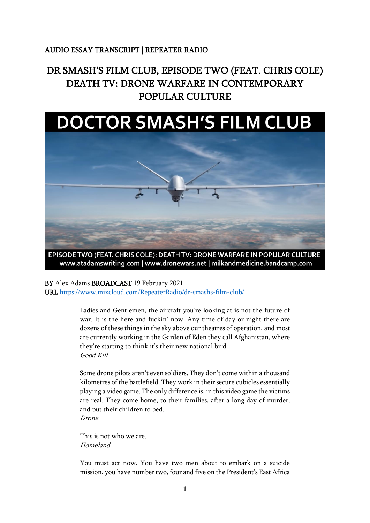## AUDIO ESSAY TRANSCRIPT | REPEATER RADIO

## DR SMASH'S FILM CLUB, EPISODE TWO (FEAT. CHRIS COLE) DEATH TV: DRONE WARFARE IN CONTEMPORARY POPULAR CULTURE

## **DOCTOR SMASH'S FILM CLUB**



EPISODE TWO (FEAT. CHRIS COLE): DEATH TV: DRONE WARFARE IN POPULAR CULTURE www.atadamswriting.com | www.dronewars.net | milkandmedicine.bandcamp.com

BY Alex Adams BROADCAST 19 February 2021

URL<https://www.mixcloud.com/RepeaterRadio/dr-smashs-film-club/>

Ladies and Gentlemen, the aircraft you're looking at is not the future of war. It is the here and fuckin' now. Any time of day or night there are dozens of these things in the sky above our theatres of operation, and most are currently working in the Garden of Eden they call Afghanistan, where they're starting to think it's their new national bird. Good Kill

Some drone pilots aren't even soldiers. They don't come within a thousand kilometres of the battlefield. They work in their secure cubicles essentially playing a video game. The only difference is, in this video game the victims are real. They come home, to their families, after a long day of murder, and put their children to bed. Drone

This is not who we are. Homeland

You must act now. You have two men about to embark on a suicide mission, you have number two, four and five on the President's East Africa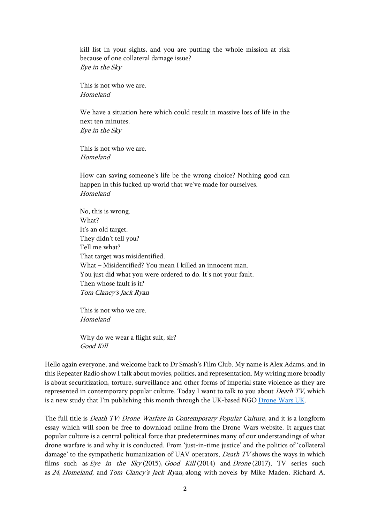kill list in your sights, and you are putting the whole mission at risk because of one collateral damage issue? Eye in the Sky

This is not who we are. Homeland

We have a situation here which could result in massive loss of life in the next ten minutes.

Eye in the Sky

This is not who we are. Homeland

How can saving someone's life be the wrong choice? Nothing good can happen in this fucked up world that we've made for ourselves. Homeland

No, this is wrong. What? It's an old target. They didn't tell you? Tell me what? That target was misidentified. What – Misidentified? You mean I killed an innocent man. You just did what you were ordered to do. It's not your fault. Then whose fault is it? Tom Clancy's Jack Ryan

This is not who we are. Homeland

Why do we wear a flight suit, sir? Good Kill

Hello again everyone, and welcome back to Dr Smash's Film Club. My name is Alex Adams, and in this Repeater Radio show I talk about movies, politics, and representation. My writing more broadly is about securitization, torture, surveillance and other forms of imperial state violence as they are represented in contemporary popular culture. Today I want to talk to you about *Death TV*, which is a new study that I'm publishing this month through the UK-based NG[O Drone Wars UK.](dronewars.net)

The full title is *Death TV: Drone Warfare in Contemporary Popular Culture*, and it is a longform essay which will soon be free to download online from the Drone Wars website. It argues that popular culture is a central political force that predetermines many of our understandings of what drone warfare is and why it is conducted. From 'just-in-time justice' and the politics of 'collateral damage' to the sympathetic humanization of UAV operators, *Death TV* shows the ways in which films such as  $Eye$  in the Sky (2015), Good Kill (2014) and Drone (2017), TV series such as <sup>24</sup>, Homeland, and Tom Clancy's Jack Ryan, along with novels by Mike Maden, Richard A.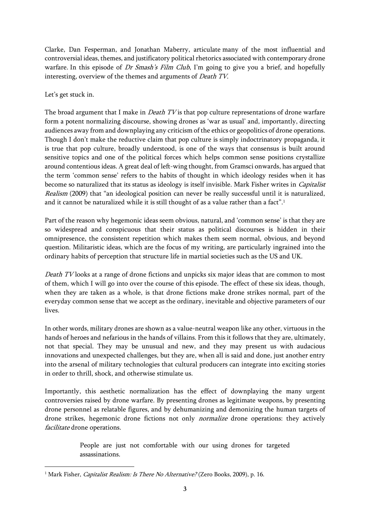Clarke, Dan Fesperman, and Jonathan Maberry, articulate many of the most influential and controversial ideas, themes, and justificatory political rhetorics associated with contemporary drone warfare. In this episode of Dr Smash's Film Club, I'm going to give you a brief, and hopefully interesting, overview of the themes and arguments of Death TV.

## Let's get stuck in.

The broad argument that I make in *Death TV* is that pop culture representations of drone warfare form a potent normalizing discourse, showing drones as 'war as usual' and, importantly, directing audiences away from and downplaying any criticism of the ethics or geopolitics of drone operations. Though I don't make the reductive claim that pop culture is simply indoctrinatory propaganda, it is true that pop culture, broadly understood, is one of the ways that consensus is built around sensitive topics and one of the political forces which helps common sense positions crystallize around contentious ideas. A great deal of left-wing thought, from Gramsci onwards, has argued that the term 'common sense' refers to the habits of thought in which ideology resides when it has become so naturalized that its status as ideology is itself invisible. Mark Fisher writes in *Capitalist* Realism (2009) that "an ideological position can never be really successful until it is naturalized, and it cannot be naturalized while it is still thought of as a value rather than a fact". 1

Part of the reason why hegemonic ideas seem obvious, natural, and 'common sense' is that they are so widespread and conspicuous that their status as political discourses is hidden in their omnipresence, the consistent repetition which makes them seem normal, obvious, and beyond question. Militaristic ideas, which are the focus of my writing, are particularly ingrained into the ordinary habits of perception that structure life in martial societies such as the US and UK.

Death TV looks at a range of drone fictions and unpicks six major ideas that are common to most of them, which I will go into over the course of this episode. The effect of these six ideas, though, when they are taken as a whole, is that drone fictions make drone strikes normal, part of the everyday common sense that we accept as the ordinary, inevitable and objective parameters of our lives.

In other words, military drones are shown as a value-neutral weapon like any other, virtuous in the hands of heroes and nefarious in the hands of villains. From this it follows that they are, ultimately, not that special. They may be unusual and new, and they may present us with audacious innovations and unexpected challenges, but they are, when all is said and done, just another entry into the arsenal of military technologies that cultural producers can integrate into exciting stories in order to thrill, shock, and otherwise stimulate us.

Importantly, this aesthetic normalization has the effect of downplaying the many urgent controversies raised by drone warfare. By presenting drones as legitimate weapons, by presenting drone personnel as relatable figures, and by dehumanizing and demonizing the human targets of drone strikes, hegemonic drone fictions not only normalize drone operations: they actively facilitate drone operations.

> People are just not comfortable with our using drones for targeted assassinations.

<sup>&</sup>lt;sup>1</sup> Mark Fisher, *Capitalist Realism: Is There No Alternative?* (Zero Books, 2009), p. 16.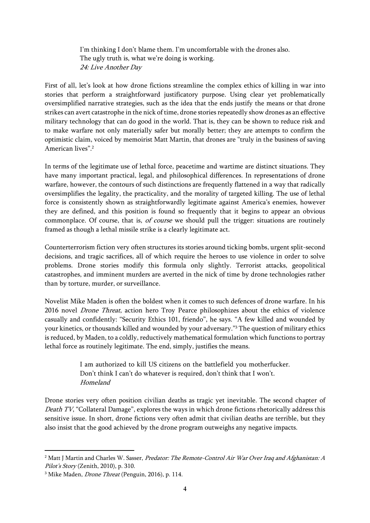I'm thinking I don't blame them. I'm uncomfortable with the drones also. The ugly truth is, what we're doing is working. 24: Live Another Day

First of all, let's look at how drone fictions streamline the complex ethics of killing in war into stories that perform a straightforward justificatory purpose. Using clear yet problematically oversimplified narrative strategies, such as the idea that the ends justify the means or that drone strikes can avert catastrophe in the nick of time, drone stories repeatedly show drones as an effective military technology that can do good in the world. That is, they can be shown to reduce risk and to make warfare not only materially safer but morally better; they are attempts to confirm the optimistic claim, voiced by memoirist Matt Martin, that drones are "truly in the business of saving American lives".<sup>2</sup>

In terms of the legitimate use of lethal force, peacetime and wartime are distinct situations. They have many important practical, legal, and philosophical differences. In representations of drone warfare, however, the contours of such distinctions are frequently flattened in a way that radically oversimplifies the legality, the practicality, and the morality of targeted killing. The use of lethal force is consistently shown as straightforwardly legitimate against America's enemies, however they are defined, and this position is found so frequently that it begins to appear an obvious commonplace. Of course, that is, of course we should pull the trigger: situations are routinely framed as though a lethal missile strike is a clearly legitimate act.

Counterterrorism fiction very often structures its stories around ticking bombs, urgent split-second decisions, and tragic sacrifices, all of which require the heroes to use violence in order to solve problems. Drone stories modify this formula only slightly. Terrorist attacks, geopolitical catastrophes, and imminent murders are averted in the nick of time by drone technologies rather than by torture, murder, or surveillance.

Novelist Mike Maden is often the boldest when it comes to such defences of drone warfare. In his 2016 novel Drone Threat, action hero Troy Pearce philosophizes about the ethics of violence casually and confidently: "Security Ethics 101, friendo", he says. "A few killed and wounded by your kinetics, or thousands killed and wounded by your adversary."<sup>3</sup> The question of military ethics is reduced, by Maden, to a coldly, reductively mathematical formulation which functions to portray lethal force as routinely legitimate. The end, simply, justifies the means.

> I am authorized to kill US citizens on the battlefield you motherfucker. Don't think I can't do whatever is required, don't think that I won't. Homeland

Drone stories very often position civilian deaths as tragic yet inevitable. The second chapter of Death TV, "Collateral Damage", explores the ways in which drone fictions rhetorically address this sensitive issue. In short, drone fictions very often admit that civilian deaths are terrible, but they also insist that the good achieved by the drone program outweighs any negative impacts.

<sup>&</sup>lt;sup>2</sup> Matt J Martin and Charles W. Sasser, Predator: The Remote-Control Air War Over Iraq and Afghanistan: A Pilot's Story (Zenith, 2010), p. 310.

<sup>3</sup> Mike Maden, Drone Threat (Penguin, 2016), p. 114.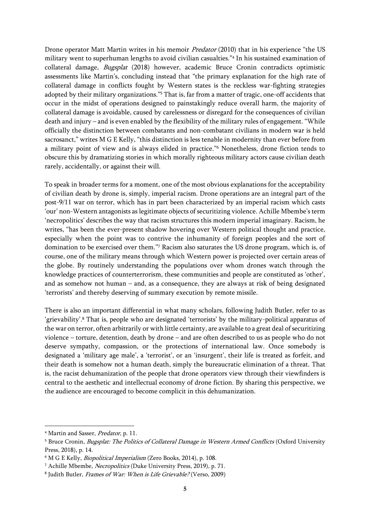Drone operator Matt Martin writes in his memoir *Predator* (2010) that in his experience "the US military went to superhuman lengths to avoid civilian casualties."<sup>4</sup> In his sustained examination of collateral damage, Bugsplat (2018) however, academic Bruce Cronin contradicts optimistic assessments like Martin's, concluding instead that "the primary explanation for the high rate of collateral damage in conflicts fought by Western states is the reckless war-fighting strategies adopted by their military organizations."<sup>5</sup> That is, far from a matter of tragic, one-off accidents that occur in the midst of operations designed to painstakingly reduce overall harm, the majority of collateral damage is avoidable, caused by carelessness or disregard for the consequences of civilian death and injury – and is even enabled by the flexibility of the military rules of engagement. "While officially the distinction between combatants and non-combatant civilians in modern war is held sacrosanct," writes M G E Kelly, "this distinction is less tenable in modernity than ever before from a military point of view and is always elided in practice."<sup>6</sup> Nonetheless, drone fiction tends to obscure this by dramatizing stories in which morally righteous military actors cause civilian death rarely, accidentally, or against their will.

To speak in broader terms for a moment, one of the most obvious explanations for the acceptability of civilian death by drone is, simply, imperial racism. Drone operations are an integral part of the post-9/11 war on terror, which has in part been characterized by an imperial racism which casts 'our' non-Western antagonists as legitimate objects of securitizing violence. Achille Mbembe's term 'necropolitics' describes the way that racism structures this modern imperial imaginary. Racism, he writes, "has been the ever-present shadow hovering over Western political thought and practice, especially when the point was to contrive the inhumanity of foreign peoples and the sort of domination to be exercised over them."<sup>7</sup> Racism also saturates the US drone program, which is, of course, one of the military means through which Western power is projected over certain areas of the globe. By routinely understanding the populations over whom drones watch through the knowledge practices of counterterrorism, these communities and people are constituted as 'other', and as somehow not human – and, as a consequence, they are always at risk of being designated 'terrorists' and thereby deserving of summary execution by remote missile.

There is also an important differential in what many scholars, following Judith Butler, refer to as 'grievability'.<sup>8</sup> That is, people who are designated 'terrorists' by the military-political apparatus of the war on terror, often arbitrarily or with little certainty, are available to a great deal of securitizing violence – torture, detention, death by drone – and are often described to us as people who do not deserve sympathy, compassion, or the protections of international law. Once somebody is designated a 'military age male', a 'terrorist', or an 'insurgent', their life is treated as forfeit, and their death is somehow not a human death, simply the bureaucratic elimination of a threat. That is, the racist dehumanization of the people that drone operators view through their viewfinders is central to the aesthetic and intellectual economy of drone fiction. By sharing this perspective, we the audience are encouraged to become complicit in this dehumanization.

<sup>4</sup> Martin and Sasser, Predator, p. 11.

<sup>&</sup>lt;sup>5</sup> Bruce Cronin, *Bugsplat: The Politics of Collateral Damage in Western Armed Conflicts* (Oxford University Press, 2018), p. 14.

<sup>6</sup> M G E Kelly, Biopolitical Imperialism (Zero Books, 2014), p. 108.

<sup>7</sup> Achille Mbembe, Necropolitics (Duke University Press, 2019), p. 71.

<sup>&</sup>lt;sup>8</sup> Judith Butler, *Frames of War: When is Life Grievable?* (Verso, 2009)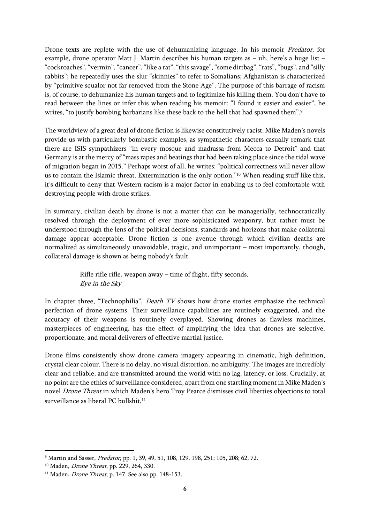Drone texts are replete with the use of dehumanizing language. In his memoir *Predator*, for example, drone operator Matt J. Martin describes his human targets as – uh, here's a huge list – "cockroaches", "vermin", "cancer", "like a rat", "this savage", "some dirtbag", "rats", "bugs", and "silly rabbits"; he repeatedly uses the slur "skinnies" to refer to Somalians; Afghanistan is characterized by "primitive squalor not far removed from the Stone Age". The purpose of this barrage of racism is, of course, to dehumanize his human targets and to legitimize his killing them. You don't have to read between the lines or infer this when reading his memoir: "I found it easier and easier", he writes, "to justify bombing barbarians like these back to the hell that had spawned them".<sup>9</sup>

The worldview of a great deal of drone fiction is likewise constitutively racist. Mike Maden's novels provide us with particularly bombastic examples, as sympathetic characters casually remark that there are ISIS sympathizers "in every mosque and madrassa from Mecca to Detroit" and that Germany is at the mercy of "mass rapes and beatings that had been taking place since the tidal wave of migration began in 2015." Perhaps worst of all, he writes: "political correctness will never allow us to contain the Islamic threat. Extermination is the only option."<sup>10</sup> When reading stuff like this, it's difficult to deny that Western racism is a major factor in enabling us to feel comfortable with destroying people with drone strikes.

In summary, civilian death by drone is not a matter that can be managerially, technocratically resolved through the deployment of ever more sophisticated weaponry, but rather must be understood through the lens of the political decisions, standards and horizons that make collateral damage appear acceptable. Drone fiction is one avenue through which civilian deaths are normalized as simultaneously unavoidable, tragic, and unimportant – most importantly, though, collateral damage is shown as being nobody's fault.

> Rifle rifle rifle, weapon away – time of flight, fifty seconds. Eye in the Sky

In chapter three, "Technophilia", *Death TV* shows how drone stories emphasize the technical perfection of drone systems. Their surveillance capabilities are routinely exaggerated, and the accuracy of their weapons is routinely overplayed. Showing drones as flawless machines, masterpieces of engineering, has the effect of amplifying the idea that drones are selective, proportionate, and moral deliverers of effective martial justice.

Drone films consistently show drone camera imagery appearing in cinematic, high definition, crystal clear colour. There is no delay, no visual distortion, no ambiguity. The images are incredibly clear and reliable, and are transmitted around the world with no lag, latency, or loss. Crucially, at no point are the ethics of surveillance considered, apart from one startling moment in Mike Maden's novel Drone Threat in which Maden's hero Troy Pearce dismisses civil liberties objections to total surveillance as liberal PC bullshit.<sup>11</sup>

<sup>&</sup>lt;sup>9</sup> Martin and Sasser, *Predator*, pp. 1, 39, 49, 51, 108, 129, 198, 251; 105, 208; 62, 72.

<sup>&</sup>lt;sup>10</sup> Maden, *Drone Threat*, pp. 229, 264, 330.

<sup>&</sup>lt;sup>11</sup> Maden, *Drone Threat*, p. 147. See also pp. 148-153.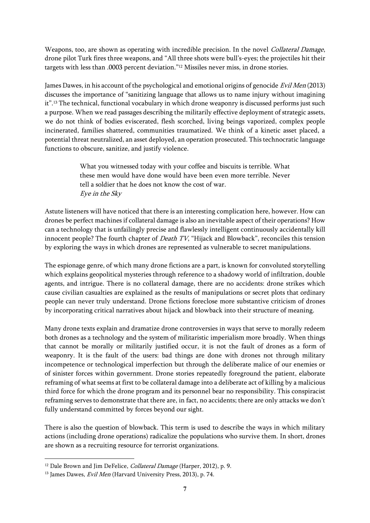Weapons, too, are shown as operating with incredible precision. In the novel *Collateral Damage*, drone pilot Turk fires three weapons, and "All three shots were bull's-eyes; the projectiles hit their targets with less than .0003 percent deviation."<sup>12</sup> Missiles never miss, in drone stories.

James Dawes, in his account of the psychological and emotional origins of genocide Evil Men (2013) discusses the importance of "sanitizing language that allows us to name injury without imagining it".<sup>13</sup> The technical, functional vocabulary in which drone weaponry is discussed performs just such a purpose. When we read passages describing the militarily effective deployment of strategic assets, we do not think of bodies eviscerated, flesh scorched, living beings vaporized, complex people incinerated, families shattered, communities traumatized. We think of a kinetic asset placed, a potential threat neutralized, an asset deployed, an operation prosecuted. This technocratic language functions to obscure, sanitize, and justify violence.

> What you witnessed today with your coffee and biscuits is terrible. What these men would have done would have been even more terrible. Never tell a soldier that he does not know the cost of war. Eye in the Sky

Astute listeners will have noticed that there is an interesting complication here, however. How can drones be perfect machines if collateral damage is also an inevitable aspect of their operations? How can a technology that is unfailingly precise and flawlessly intelligent continuously accidentally kill innocent people? The fourth chapter of *Death TV*, "Hijack and Blowback", reconciles this tension by exploring the ways in which drones are represented as vulnerable to secret manipulations.

The espionage genre, of which many drone fictions are a part, is known for convoluted storytelling which explains geopolitical mysteries through reference to a shadowy world of infiltration, double agents, and intrigue. There is no collateral damage, there are no accidents: drone strikes which cause civilian casualties are explained as the results of manipulations or secret plots that ordinary people can never truly understand. Drone fictions foreclose more substantive criticism of drones by incorporating critical narratives about hijack and blowback into their structure of meaning.

Many drone texts explain and dramatize drone controversies in ways that serve to morally redeem both drones as a technology and the system of militaristic imperialism more broadly. When things that cannot be morally or militarily justified occur, it is not the fault of drones as a form of weaponry. It is the fault of the users: bad things are done with drones not through military incompetence or technological imperfection but through the deliberate malice of our enemies or of sinister forces within government. Drone stories repeatedly foreground the patient, elaborate reframing of what seems at first to be collateral damage into a deliberate act of killing by a malicious third force for which the drone program and its personnel bear no responsibility. This conspiracist reframing serves to demonstrate that there are, in fact, no accidents; there are only attacks we don't fully understand committed by forces beyond our sight.

There is also the question of blowback. This term is used to describe the ways in which military actions (including drone operations) radicalize the populations who survive them. In short, drones are shown as a recruiting resource for terrorist organizations.

<sup>&</sup>lt;sup>12</sup> Dale Brown and Jim DeFelice, *Collateral Damage* (Harper, 2012), p. 9.

 $13$  James Dawes, *Evil Men* (Harvard University Press, 2013), p. 74.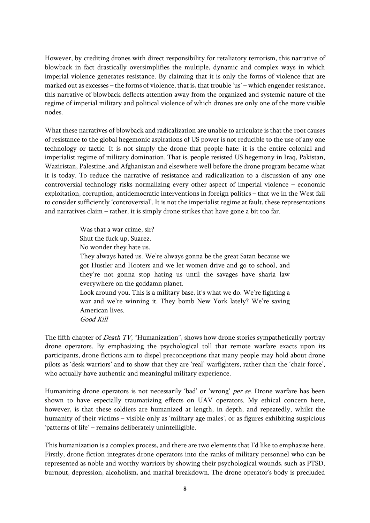However, by crediting drones with direct responsibility for retaliatory terrorism, this narrative of blowback in fact drastically oversimplifies the multiple, dynamic and complex ways in which imperial violence generates resistance. By claiming that it is only the forms of violence that are marked out as excesses – the forms of violence, that is, that trouble 'us' – which engender resistance, this narrative of blowback deflects attention away from the organized and systemic nature of the regime of imperial military and political violence of which drones are only one of the more visible nodes.

What these narratives of blowback and radicalization are unable to articulate is that the root causes of resistance to the global hegemonic aspirations of US power is not reducible to the use of any one technology or tactic. It is not simply the drone that people hate: it is the entire colonial and imperialist regime of military domination. That is, people resisted US hegemony in Iraq, Pakistan, Waziristan, Palestine, and Afghanistan and elsewhere well before the drone program became what it is today. To reduce the narrative of resistance and radicalization to a discussion of any one controversial technology risks normalizing every other aspect of imperial violence – economic exploitation, corruption, antidemocratic interventions in foreign politics – that we in the West fail to consider sufficiently 'controversial'. It is not the imperialist regime at fault, these representations and narratives claim – rather, it is simply drone strikes that have gone a bit too far.

> Was that a war crime, sir? Shut the fuck up, Suarez. No wonder they hate us. They always hated us. We're always gonna be the great Satan because we got Hustler and Hooters and we let women drive and go to school, and they're not gonna stop hating us until the savages have sharia law everywhere on the goddamn planet. Look around you. This is a military base, it's what we do. We're fighting a war and we're winning it. They bomb New York lately? We're saving American lives. Good Kill

The fifth chapter of *Death TV*, "Humanization", shows how drone stories sympathetically portray drone operators. By emphasizing the psychological toll that remote warfare exacts upon its participants, drone fictions aim to dispel preconceptions that many people may hold about drone pilots as 'desk warriors' and to show that they are 'real' warfighters, rather than the 'chair force', who actually have authentic and meaningful military experience.

Humanizing drone operators is not necessarily 'bad' or 'wrong' per se. Drone warfare has been shown to have especially traumatizing effects on UAV operators. My ethical concern here, however, is that these soldiers are humanized at length, in depth, and repeatedly, whilst the humanity of their victims – visible only as 'military age males', or as figures exhibiting suspicious 'patterns of life' – remains deliberately unintelligible.

This humanization is a complex process, and there are two elements that I'd like to emphasize here. Firstly, drone fiction integrates drone operators into the ranks of military personnel who can be represented as noble and worthy warriors by showing their psychological wounds, such as PTSD, burnout, depression, alcoholism, and marital breakdown. The drone operator's body is precluded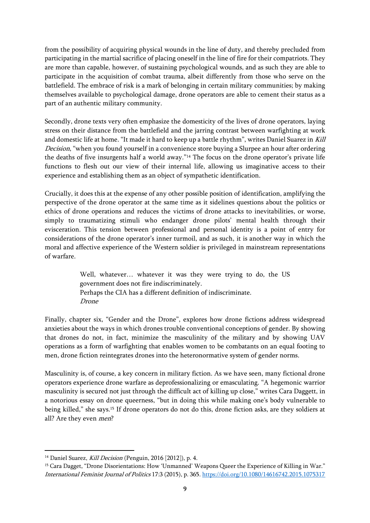from the possibility of acquiring physical wounds in the line of duty, and thereby precluded from participating in the martial sacrifice of placing oneself in the line of fire for their compatriots. They are more than capable, however, of sustaining psychological wounds, and as such they are able to participate in the acquisition of combat trauma, albeit differently from those who serve on the battlefield. The embrace of risk is a mark of belonging in certain military communities; by making themselves available to psychological damage, drone operators are able to cement their status as a part of an authentic military community.

Secondly, drone texts very often emphasize the domesticity of the lives of drone operators, laying stress on their distance from the battlefield and the jarring contrast between warfighting at work and domestic life at home. "It made it hard to keep up a battle rhythm", writes Daniel Suarez in Kill Decision, "when you found yourself in a convenience store buying a Slurpee an hour after ordering the deaths of five insurgents half a world away."<sup>14</sup> The focus on the drone operator's private life functions to flesh out our view of their internal life, allowing us imaginative access to their experience and establishing them as an object of sympathetic identification.

Crucially, it does this at the expense of any other possible position of identification, amplifying the perspective of the drone operator at the same time as it sidelines questions about the politics or ethics of drone operations and reduces the victims of drone attacks to inevitabilities, or worse, simply to traumatizing stimuli who endanger drone pilots' mental health through their evisceration. This tension between professional and personal identity is a point of entry for considerations of the drone operator's inner turmoil, and as such, it is another way in which the moral and affective experience of the Western soldier is privileged in mainstream representations of warfare.

> Well, whatever… whatever it was they were trying to do, the US government does not fire indiscriminately. Perhaps the CIA has a different definition of indiscriminate. Drone

Finally, chapter six, "Gender and the Drone", explores how drone fictions address widespread anxieties about the ways in which drones trouble conventional conceptions of gender. By showing that drones do not, in fact, minimize the masculinity of the military and by showing UAV operations as a form of warfighting that enables women to be combatants on an equal footing to men, drone fiction reintegrates drones into the heteronormative system of gender norms.

Masculinity is, of course, a key concern in military fiction. As we have seen, many fictional drone operators experience drone warfare as deprofessionalizing or emasculating. "A hegemonic warrior masculinity is secured not just through the difficult act of killing up close," writes Cara Daggett, in a notorious essay on drone queerness, "but in doing this while making one's body vulnerable to being killed," she says.<sup>15</sup> If drone operators do not do this, drone fiction asks, are they soldiers at all? Are they even men?

<sup>&</sup>lt;sup>14</sup> Daniel Suarez, *Kill Decision* (Penguin, 2016 [2012]), p. 4.

<sup>&</sup>lt;sup>15</sup> Cara Dagget, "Drone Disorientations: How 'Unmanned' Weapons Queer the Experience of Killing in War." International Feminist Journal of Politics 17:3 (2015), p. 365. <https://doi.org/10.1080/14616742.2015.1075317>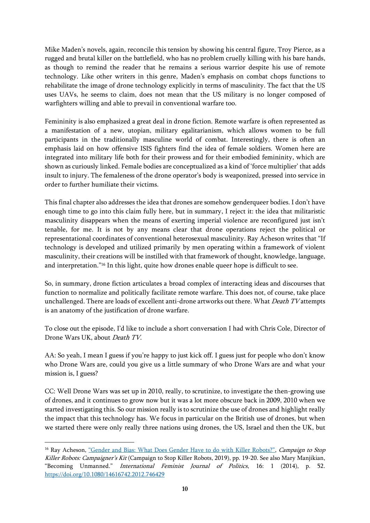Mike Maden's novels, again, reconcile this tension by showing his central figure, Troy Pierce, as a rugged and brutal killer on the battlefield, who has no problem cruelly killing with his bare hands, as though to remind the reader that he remains a serious warrior despite his use of remote technology. Like other writers in this genre, Maden's emphasis on combat chops functions to rehabilitate the image of drone technology explicitly in terms of masculinity. The fact that the US uses UAVs, he seems to claim, does not mean that the US military is no longer composed of warfighters willing and able to prevail in conventional warfare too.

Femininity is also emphasized a great deal in drone fiction. Remote warfare is often represented as a manifestation of a new, utopian, military egalitarianism, which allows women to be full participants in the traditionally masculine world of combat. Interestingly, there is often an emphasis laid on how offensive ISIS fighters find the idea of female soldiers. Women here are integrated into military life both for their prowess and for their embodied femininity, which are shown as curiously linked. Female bodies are conceptualized as a kind of 'force multiplier' that adds insult to injury. The femaleness of the drone operator's body is weaponized, pressed into service in order to further humiliate their victims.

This final chapter also addresses the idea that drones are somehow genderqueer bodies. I don't have enough time to go into this claim fully here, but in summary, I reject it: the idea that militaristic masculinity disappears when the means of exerting imperial violence are reconfigured just isn't tenable, for me. It is not by any means clear that drone operations reject the political or representational coordinates of conventional heterosexual masculinity. Ray Acheson writes that "If technology is developed and utilized primarily by men operating within a framework of violent masculinity, their creations will be instilled with that framework of thought, knowledge, language, and interpretation."<sup>16</sup> In this light, quite how drones enable queer hope is difficult to see.

So, in summary, drone fiction articulates a broad complex of interacting ideas and discourses that function to normalize and politically facilitate remote warfare. This does not, of course, take place unchallenged. There are loads of excellent anti-drone artworks out there. What Death TV attempts is an anatomy of the justification of drone warfare.

To close out the episode, I'd like to include a short conversation I had with Chris Cole, Director of Drone Wars UK, about Death TV.

AA: So yeah, I mean I guess if you're happy to just kick off. I guess just for people who don't know who Drone Wars are, could you give us a little summary of who Drone Wars are and what your mission is, I guess?

CC: Well Drone Wars was set up in 2010, really, to scrutinize, to investigate the then-growing use of drones, and it continues to grow now but it was a lot more obscure back in 2009, 2010 when we started investigating this. So our mission really is to scrutinize the use of drones and highlight really the impact that this technology has. We focus in particular on the British use of drones, but when we started there were only really three nations using drones, the US, Israel and then the UK, but

<sup>&</sup>lt;sup>16</sup> Ray Acheson, ["Gender and Bias: What Does Gender Have to do with Killer Robots?"](https://www.stopkillerrobots.org/wp-content/uploads/2019/04/Campaigners-Kit-FINAL_EN.pdf), Campaign to Stop Killer Robots: Campaigner's Kit (Campaign to Stop Killer Robots, 2019), pp. 19-20. See also Mary Manjikian, "Becoming Unmanned." International Feminist Journal of Politics, 16: 1 (2014), p. 52. <https://doi.org/10.1080/14616742.2012.746429>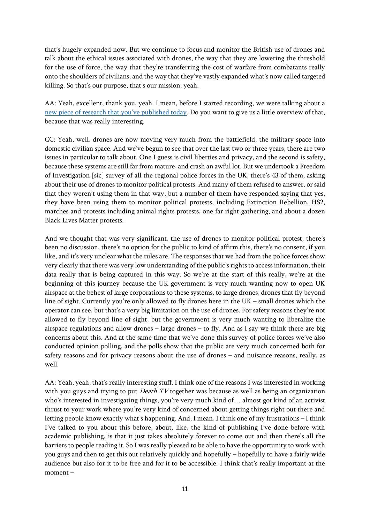that's hugely expanded now. But we continue to focus and monitor the British use of drones and talk about the ethical issues associated with drones, the way that they are lowering the threshold for the use of force, the way that they're transferring the cost of warfare from combatants really onto the shoulders of civilians, and the way that they've vastly expanded what's now called targeted killing. So that's our purpose, that's our mission, yeah.

AA: Yeah, excellent, thank you, yeah. I mean, before I started recording, we were talking about a [new piece of research that you've published today](https://www.theguardian.com/uk-news/2021/feb/14/drones-police-england-monitor-political-protests-blm-extinction-rebellion). Do you want to give us a little overview of that, because that was really interesting.

CC: Yeah, well, drones are now moving very much from the battlefield, the military space into domestic civilian space. And we've begun to see that over the last two or three years, there are two issues in particular to talk about. One I guess is civil liberties and privacy, and the second is safety, because these systems are still far from mature, and crash an awful lot. But we undertook a Freedom of Investigation [sic] survey of all the regional police forces in the UK, there's 43 of them, asking about their use of drones to monitor political protests. And many of them refused to answer, or said that they weren't using them in that way, but a number of them have responded saying that yes, they have been using them to monitor political protests, including Extinction Rebellion, HS2, marches and protests including animal rights protests, one far right gathering, and about a dozen Black Lives Matter protests.

And we thought that was very significant, the use of drones to monitor political protest, there's been no discussion, there's no option for the public to kind of affirm this, there's no consent, if you like, and it's very unclear what the rules are. The responses that we had from the police forces show very clearly that there was very low understanding of the public's rights to access information, their data really that is being captured in this way. So we're at the start of this really, we're at the beginning of this journey because the UK government is very much wanting now to open UK airspace at the behest of large corporations to these systems, to large drones, drones that fly beyond line of sight. Currently you're only allowed to fly drones here in the UK – small drones which the operator can see, but that's a very big limitation on the use of drones. For safety reasons they're not allowed to fly beyond line of sight, but the government is very much wanting to liberalize the airspace regulations and allow drones – large drones – to fly. And as I say we think there are big concerns about this. And at the same time that we've done this survey of police forces we've also conducted opinion polling, and the polls show that the public are very much concerned both for safety reasons and for privacy reasons about the use of drones – and nuisance reasons, really, as well.

AA: Yeah, yeah, that's really interesting stuff. I think one of the reasons I was interested in working with you guys and trying to put *Death TV* together was because as well as being an organization who's interested in investigating things, you're very much kind of… almost got kind of an activist thrust to your work where you're very kind of concerned about getting things right out there and letting people know exactly what's happening. And, I mean, I think one of my frustrations – I think I've talked to you about this before, about, like, the kind of publishing I've done before with academic publishing, is that it just takes absolutely forever to come out and then there's all the barriers to people reading it. So I was really pleased to be able to have the opportunity to work with you guys and then to get this out relatively quickly and hopefully – hopefully to have a fairly wide audience but also for it to be free and for it to be accessible. I think that's really important at the moment –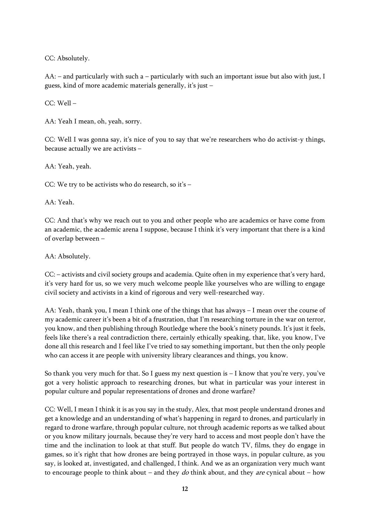CC: Absolutely.

AA: – and particularly with such a – particularly with such an important issue but also with just, I guess, kind of more academic materials generally, it's just –

CC: Well –

AA: Yeah I mean, oh, yeah, sorry.

CC: Well I was gonna say, it's nice of you to say that we're researchers who do activist-y things, because actually we are activists –

AA: Yeah, yeah.

CC: We try to be activists who do research, so it's –

AA: Yeah.

CC: And that's why we reach out to you and other people who are academics or have come from an academic, the academic arena I suppose, because I think it's very important that there is a kind of overlap between –

AA: Absolutely.

CC: – activists and civil society groups and academia. Quite often in my experience that's very hard, it's very hard for us, so we very much welcome people like yourselves who are willing to engage civil society and activists in a kind of rigorous and very well-researched way.

AA: Yeah, thank you, I mean I think one of the things that has always – I mean over the course of my academic career it's been a bit of a frustration, that I'm researching torture in the war on terror, you know, and then publishing through Routledge where the book's ninety pounds. It's just it feels, feels like there's a real contradiction there, certainly ethically speaking, that, like, you know, I've done all this research and I feel like I've tried to say something important, but then the only people who can access it are people with university library clearances and things, you know.

So thank you very much for that. So I guess my next question is  $-I$  know that you're very, you've got a very holistic approach to researching drones, but what in particular was your interest in popular culture and popular representations of drones and drone warfare?

CC: Well, I mean I think it is as you say in the study, Alex, that most people understand drones and get a knowledge and an understanding of what's happening in regard to drones, and particularly in regard to drone warfare, through popular culture, not through academic reports as we talked about or you know military journals, because they're very hard to access and most people don't have the time and the inclination to look at that stuff. But people do watch TV, films, they do engage in games, so it's right that how drones are being portrayed in those ways, in popular culture, as you say, is looked at, investigated, and challenged, I think. And we as an organization very much want to encourage people to think about – and they *do* think about, and they *are* cynical about – how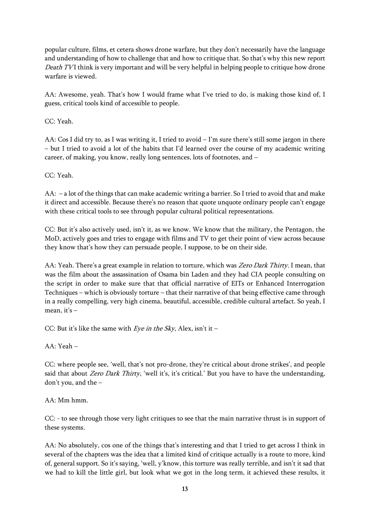popular culture, films, et cetera shows drone warfare, but they don't necessarily have the language and understanding of how to challenge that and how to critique that. So that's why this new report Death TVI think is very important and will be very helpful in helping people to critique how drone warfare is viewed.

AA: Awesome, yeah. That's how I would frame what I've tried to do, is making those kind of, I guess, critical tools kind of accessible to people.

CC: Yeah.

AA: Cos I did try to, as I was writing it, I tried to avoid  $-I'm$  sure there's still some jargon in there – but I tried to avoid a lot of the habits that I'd learned over the course of my academic writing career, of making, you know, really long sentences, lots of footnotes, and –

CC: Yeah.

AA: – a lot of the things that can make academic writing a barrier. So I tried to avoid that and make it direct and accessible. Because there's no reason that quote unquote ordinary people can't engage with these critical tools to see through popular cultural political representations.

CC: But it's also actively used, isn't it, as we know. We know that the military, the Pentagon, the MoD, actively goes and tries to engage with films and TV to get their point of view across because they know that's how they can persuade people, I suppose, to be on their side.

AA: Yeah. There's a great example in relation to torture, which was Zero Dark Thirty. I mean, that was the film about the assassination of Osama bin Laden and they had CIA people consulting on the script in order to make sure that that official narrative of EITs or Enhanced Interrogation Techniques – which is obviously torture – that their narrative of that being effective came through in a really compelling, very high cinema, beautiful, accessible, credible cultural artefact. So yeah, I mean, it's  $-$ 

CC: But it's like the same with Eye in the Sky, Alex, isn't it -

AA: Yeah –

CC: where people see, 'well, that's not pro-drone, they're critical about drone strikes', and people said that about Zero Dark Thirty, 'well it's, it's critical.' But you have to have the understanding, don't you, and the –

AA: Mm hmm.

CC: - to see through those very light critiques to see that the main narrative thrust is in support of these systems.

AA: No absolutely, cos one of the things that's interesting and that I tried to get across I think in several of the chapters was the idea that a limited kind of critique actually is a route to more, kind of, general support. So it's saying, 'well, y'know, this torture was really terrible, and isn't it sad that we had to kill the little girl, but look what we got in the long term, it achieved these results, it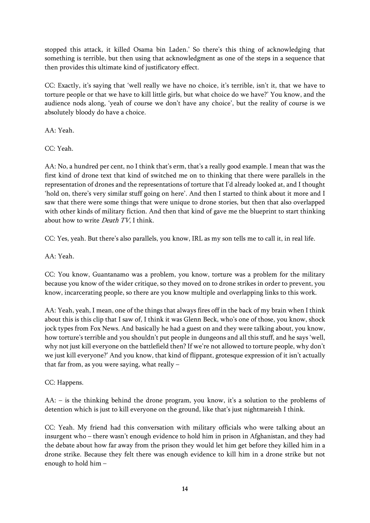stopped this attack, it killed Osama bin Laden.' So there's this thing of acknowledging that something is terrible, but then using that acknowledgment as one of the steps in a sequence that then provides this ultimate kind of justificatory effect.

CC: Exactly, it's saying that 'well really we have no choice, it's terrible, isn't it, that we have to torture people or that we have to kill little girls, but what choice do we have?' You know, and the audience nods along, 'yeah of course we don't have any choice', but the reality of course is we absolutely bloody do have a choice.

AA: Yeah.

CC: Yeah.

AA: No, a hundred per cent, no I think that's erm, that's a really good example. I mean that was the first kind of drone text that kind of switched me on to thinking that there were parallels in the representation of drones and the representations of torture that I'd already looked at, and I thought 'hold on, there's very similar stuff going on here'. And then I started to think about it more and I saw that there were some things that were unique to drone stories, but then that also overlapped with other kinds of military fiction. And then that kind of gave me the blueprint to start thinking about how to write *Death TV*, I think.

CC: Yes, yeah. But there's also parallels, you know, IRL as my son tells me to call it, in real life.

AA: Yeah.

CC: You know, Guantanamo was a problem, you know, torture was a problem for the military because you know of the wider critique, so they moved on to drone strikes in order to prevent, you know, incarcerating people, so there are you know multiple and overlapping links to this work.

AA: Yeah, yeah, I mean, one of the things that always fires off in the back of my brain when I think about this is this clip that I saw of, I think it was Glenn Beck, who's one of those, you know, shock jock types from Fox News. And basically he had a guest on and they were talking about, you know, how torture's terrible and you shouldn't put people in dungeons and all this stuff, and he says 'well, why not just kill everyone on the battlefield then? If we're not allowed to torture people, why don't we just kill everyone?' And you know, that kind of flippant, grotesque expression of it isn't actually that far from, as you were saying, what really –

CC: Happens.

AA: – is the thinking behind the drone program, you know, it's a solution to the problems of detention which is just to kill everyone on the ground, like that's just nightmareish I think.

CC: Yeah. My friend had this conversation with military officials who were talking about an insurgent who – there wasn't enough evidence to hold him in prison in Afghanistan, and they had the debate about how far away from the prison they would let him get before they killed him in a drone strike. Because they felt there was enough evidence to kill him in a drone strike but not enough to hold him –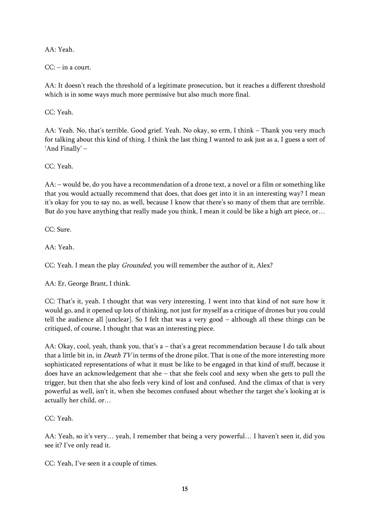AA: Yeah.

 $CC: -$  in a court.

AA: It doesn't reach the threshold of a legitimate prosecution, but it reaches a different threshold which is in some ways much more permissive but also much more final.

CC: Yeah.

AA: Yeah. No, that's terrible. Good grief. Yeah. No okay, so erm, I think – Thank you very much for talking about this kind of thing. I think the last thing I wanted to ask just as a, I guess a sort of 'And Finally' –

CC: Yeah.

AA: – would be, do you have a recommendation of a drone text, a novel or a film or something like that you would actually recommend that does, that does get into it in an interesting way? I mean it's okay for you to say no, as well, because I know that there's so many of them that are terrible. But do you have anything that really made you think, I mean it could be like a high art piece, or…

CC: Sure.

AA: Yeah.

CC: Yeah. I mean the play *Grounded*, you will remember the author of it, Alex?

AA: Er, George Brant, I think.

CC: That's it, yeah. I thought that was very interesting. I went into that kind of not sure how it would go, and it opened up lots of thinking, not just for myself as a critique of drones but you could tell the audience all [unclear]. So I felt that was a very good – although all these things can be critiqued, of course, I thought that was an interesting piece.

AA: Okay, cool, yeah, thank you, that's a – that's a great recommendation because I do talk about that a little bit in, in *Death TV* in terms of the drone pilot. That is one of the more interesting more sophisticated representations of what it must be like to be engaged in that kind of stuff, because it does have an acknowledgement that she – that she feels cool and sexy when she gets to pull the trigger, but then that she also feels very kind of lost and confused. And the climax of that is very powerful as well, isn't it, when she becomes confused about whether the target she's looking at is actually her child, or…

CC: Yeah.

AA: Yeah, so it's very… yeah, I remember that being a very powerful… I haven't seen it, did you see it? I've only read it.

CC: Yeah, I've seen it a couple of times.